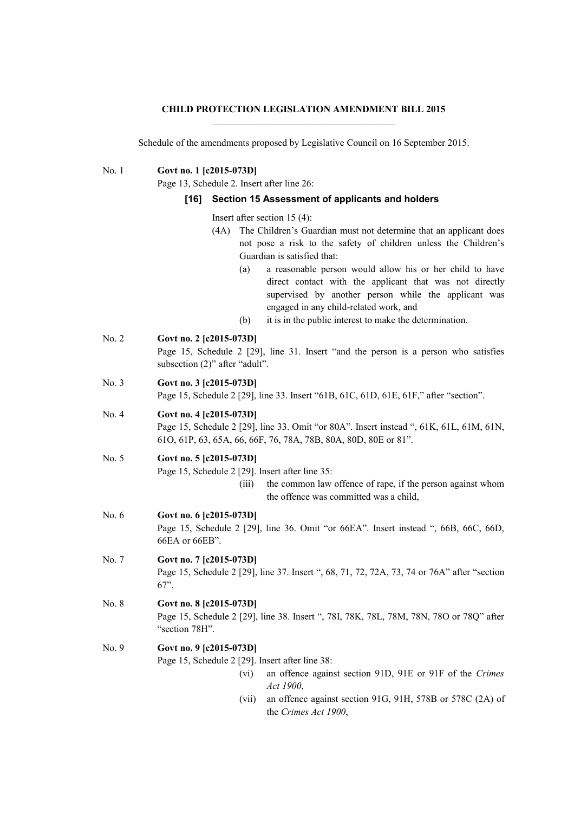# **CHILD PROTECTION LEGISLATION AMENDMENT BILL 2015**

Schedule of the amendments proposed by Legislative Council on 16 September 2015.

No. 1 **Govt no. 1 [c2015-073D]**

Page 13, Schedule 2. Insert after line 26:

#### **[16] Section 15 Assessment of applicants and holders**

- Insert after section 15 (4):
- (4A) The Children's Guardian must not determine that an applicant does not pose a risk to the safety of children unless the Children's Guardian is satisfied that:
	- (a) a reasonable person would allow his or her child to have direct contact with the applicant that was not directly supervised by another person while the applicant was engaged in any child-related work, and
	- (b) it is in the public interest to make the determination.
- No. 2 **Govt no. 2 [c2015-073D]**

Page 15, Schedule 2 [29], line 31. Insert "and the person is a person who satisfies subsection (2)" after "adult".

No. 3 **Govt no. 3 [c2015-073D]**

Page 15, Schedule 2 [29], line 33. Insert "61B, 61C, 61D, 61E, 61F," after "section".

# No. 4 **Govt no. 4 [c2015-073D]**

Page 15, Schedule 2 [29], line 33. Omit "or 80A". Insert instead ", 61K, 61L, 61M, 61N, 61O, 61P, 63, 65A, 66, 66F, 76, 78A, 78B, 80A, 80D, 80E or 81".

# No. 5 **Govt no. 5 [c2015-073D]**

Page 15, Schedule 2 [29]. Insert after line 35:

(iii) the common law offence of rape, if the person against whom the offence was committed was a child,

No. 6 **Govt no. 6 [c2015-073D]**

Page 15, Schedule 2 [29], line 36. Omit "or 66EA". Insert instead ", 66B, 66C, 66D, 66EA or 66EB".

No. 7 **Govt no. 7 [c2015-073D]** Page 15, Schedule 2 [29], line 37. Insert ", 68, 71, 72, 72A, 73, 74 or 76A" after "section 67".

# No. 8 **Govt no. 8 [c2015-073D]**

Page 15, Schedule 2 [29], line 38. Insert ", 78I, 78K, 78L, 78M, 78N, 78O or 78Q" after "section 78H".

## No. 9 **Govt no. 9 [c2015-073D]**

Page 15, Schedule 2 [29]. Insert after line 38:

- (vi) an offence against section 91D, 91E or 91F of the *Crimes Act 1900*,
- (vii) an offence against section 91G, 91H, 578B or 578C (2A) of the *Crimes Act 1900*,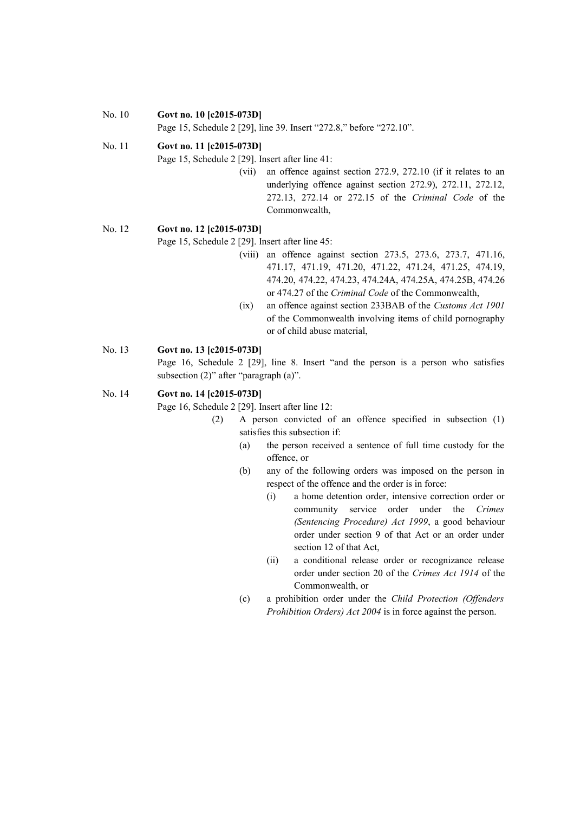#### No. 10 **Govt no. 10 [c2015-073D]**

Page 15, Schedule 2 [29], line 39. Insert "272.8," before "272.10".

## No. 11 **Govt no. 11 [c2015-073D]**

Page 15, Schedule 2 [29]. Insert after line 41:

(vii) an offence against section 272.9, 272.10 (if it relates to an underlying offence against section 272.9), 272.11, 272.12, 272.13, 272.14 or 272.15 of the *Criminal Code* of the Commonwealth,

## No. 12 **Govt no. 12 [c2015-073D]**

Page 15, Schedule 2 [29]. Insert after line 45:

- (viii) an offence against section 273.5, 273.6, 273.7, 471.16, 471.17, 471.19, 471.20, 471.22, 471.24, 471.25, 474.19, 474.20, 474.22, 474.23, 474.24A, 474.25A, 474.25B, 474.26 or 474.27 of the *Criminal Code* of the Commonwealth,
- (ix) an offence against section 233BAB of the *Customs Act 1901* of the Commonwealth involving items of child pornography or of child abuse material,

## No. 13 **Govt no. 13 [c2015-073D]**

Page 16, Schedule 2 [29], line 8. Insert "and the person is a person who satisfies subsection (2)" after "paragraph (a)".

#### No. 14 **Govt no. 14 [c2015-073D]**

Page 16, Schedule 2 [29]. Insert after line 12:

- (2) A person convicted of an offence specified in subsection (1) satisfies this subsection if:
	- (a) the person received a sentence of full time custody for the offence, or
	- (b) any of the following orders was imposed on the person in respect of the offence and the order is in force:
		- (i) a home detention order, intensive correction order or community service order under the *Crimes (Sentencing Procedure) Act 1999*, a good behaviour order under section 9 of that Act or an order under section 12 of that Act,
		- (ii) a conditional release order or recognizance release order under section 20 of the *Crimes Act 1914* of the Commonwealth, or
	- (c) a prohibition order under the *Child Protection (Offenders Prohibition Orders) Act 2004* is in force against the person.